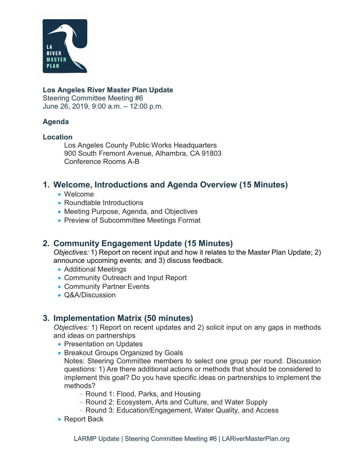

#### **Los Angeles River Master Plan Update**

Steering Committee Meeting #6 June 26, 2019, 9:00 a.m. – 12:00 p.m.

#### **Agenda**

#### **Location**

Los Angeles County Public Works Headquarters 900 South Fremont Avenue, Alhambra, CA 91803 Conference Rooms A-B

### **1. Welcome, Introductions and Agenda Overview (15 Minutes)**

- Welcome
- Roundtable Introductions
- Meeting Purpose, Agenda, and Objectives
- Preview of Subcommittee Meetings Format

## **2. Community Engagement Update (15 Minutes)**

*Objectives:* 1) Report on recent input and how it relates to the Master Plan Update; 2) announce upcoming events; and 3) discuss feedback.

- Additional Meetings
- Community Outreach and Input Report
- Community Partner Events
- Q&A/Discussion

## **3. Implementation Matrix (50 minutes)**

*Objectives:* 1) Report on recent updates and 2) solicit input on any gaps in methods and ideas on partnerships

- Presentation on Updates
- Breakout Groups Organized by Goals

Notes: Steering Committee members to select one group per round. Discussion questions: 1) Are there additional actions or methods that should be considered to implement this goal? Do you have specific ideas on partnerships to implement the methods?

- Round 1: Flood, Parks, and Housing
- Round 2: Ecosystem, Arts and Culture, and Water Supply
- Round 3: Education/Engagement, Water Quality, and Access
- Report Back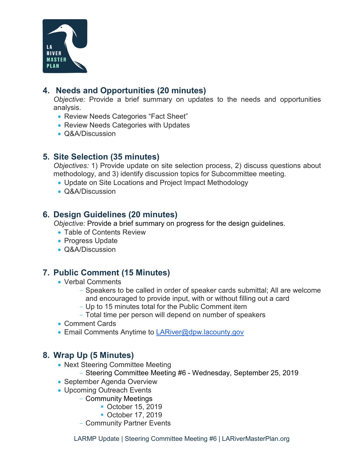

# **4. Needs and Opportunities (20 minutes)**

*Objective:* Provide a brief summary on updates to the needs and opportunities analysis.

- Review Needs Categories "Fact Sheet"
- Review Needs Categories with Updates
- Q&A/Discussion

### **5. Site Selection (35 minutes)**

*Objectives:* 1) Provide update on site selection process, 2) discuss questions about methodology, and 3) identify discussion topics for Subcommittee meeting.

- Update on Site Locations and Project Impact Methodology
- Q&A/Discussion

### **6. Design Guidelines (20 minutes)**

*Objective:* Provide a brief summary on progress for the design guidelines.

- Table of Contents Review
- Progress Update
- Q&A/Discussion

## **7. Public Comment (15 Minutes)**

- Verbal Comments
	- Speakers to be called in order of speaker cards submittal; All are welcome and encouraged to provide input, with or without filling out a card
	- Up to 15 minutes total for the Public Comment item
	- Total time per person will depend on number of speakers
- Comment Cards
- Email Comments Anytime to [LARiver@dpw.lacounty.gov](mailto:LARiver@dpw.lacounty.gov)

## **8. Wrap Up (5 Minutes)**

- Next Steering Committee Meeting
	- Steering Committee Meeting #6 Wednesday, September 25, 2019
- September Agenda Overview
- Upcoming Outreach Events
	- Community Meetings
		- October 15, 2019
		- October 17, 2019
	- Community Partner Events

LARMP Update | Steering Committee Meeting #6 | LARiverMasterPlan.org